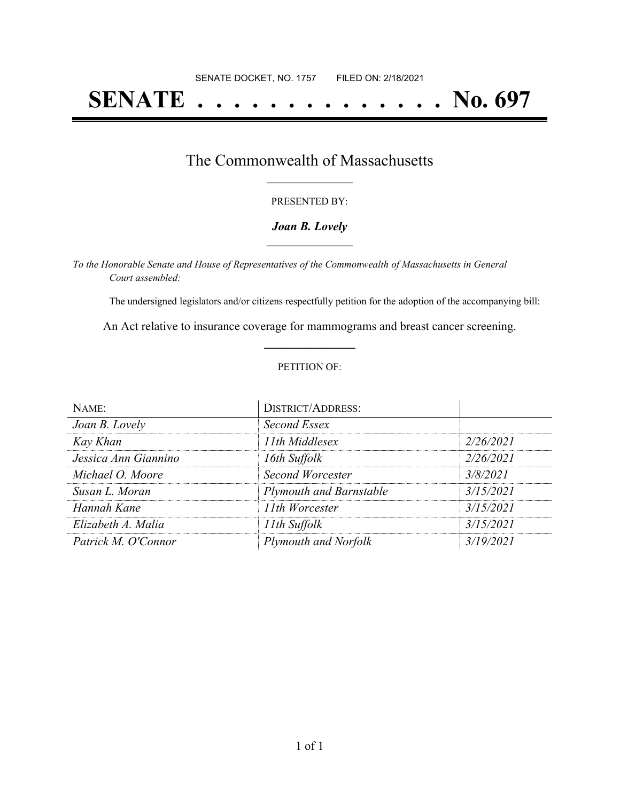# **SENATE . . . . . . . . . . . . . . No. 697**

## The Commonwealth of Massachusetts **\_\_\_\_\_\_\_\_\_\_\_\_\_\_\_\_\_**

#### PRESENTED BY:

#### *Joan B. Lovely* **\_\_\_\_\_\_\_\_\_\_\_\_\_\_\_\_\_**

*To the Honorable Senate and House of Representatives of the Commonwealth of Massachusetts in General Court assembled:*

The undersigned legislators and/or citizens respectfully petition for the adoption of the accompanying bill:

An Act relative to insurance coverage for mammograms and breast cancer screening. **\_\_\_\_\_\_\_\_\_\_\_\_\_\_\_**

#### PETITION OF:

| NAME:                | <b>DISTRICT/ADDRESS:</b>       |           |
|----------------------|--------------------------------|-----------|
| Joan B. Lovely       | Second Essex                   |           |
| Kay Khan             | 11th Middlesex                 | 2/26/2021 |
| Jessica Ann Giannino | 16th Suffolk                   | 2/26/2021 |
| Michael O. Moore     | Second Worcester               | 3/8/2021  |
| Susan L. Moran       | <b>Plymouth and Barnstable</b> | 3/15/2021 |
| Hannah Kane          | 11th Worcester                 | 3/15/2021 |
| Elizabeth A. Malia   | 11th Suffolk                   | 3/15/2021 |
| Patrick M. O'Connor  | Plymouth and Norfolk           | 3/19/2021 |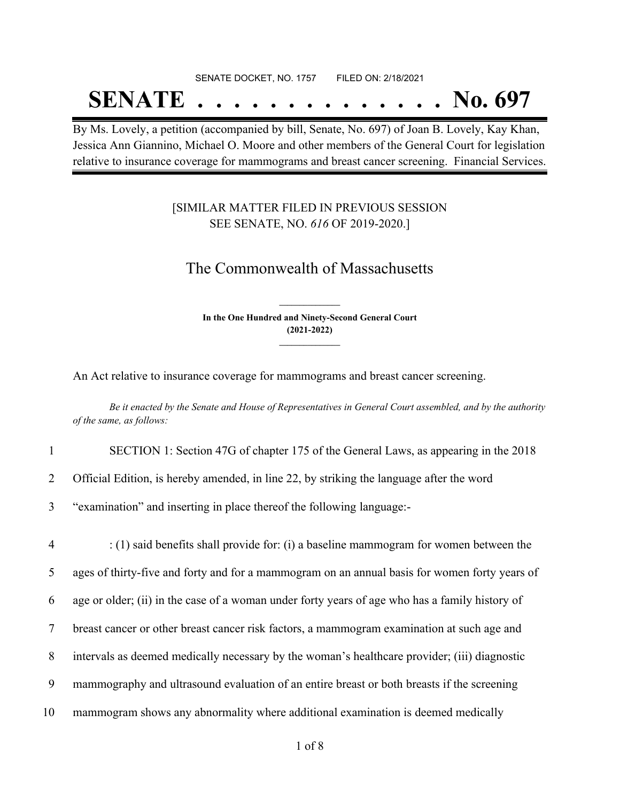# SENATE DOCKET, NO. 1757 FILED ON: 2/18/2021 **SENATE . . . . . . . . . . . . . . No. 697**

By Ms. Lovely, a petition (accompanied by bill, Senate, No. 697) of Joan B. Lovely, Kay Khan, Jessica Ann Giannino, Michael O. Moore and other members of the General Court for legislation relative to insurance coverage for mammograms and breast cancer screening. Financial Services.

### [SIMILAR MATTER FILED IN PREVIOUS SESSION SEE SENATE, NO. *616* OF 2019-2020.]

## The Commonwealth of Massachusetts

**In the One Hundred and Ninety-Second General Court (2021-2022) \_\_\_\_\_\_\_\_\_\_\_\_\_\_\_**

**\_\_\_\_\_\_\_\_\_\_\_\_\_\_\_**

An Act relative to insurance coverage for mammograms and breast cancer screening.

Be it enacted by the Senate and House of Representatives in General Court assembled, and by the authority *of the same, as follows:*

- 1 SECTION 1: Section 47G of chapter 175 of the General Laws, as appearing in the 2018
- 2 Official Edition, is hereby amended, in line 22, by striking the language after the word
- 3 "examination" and inserting in place thereof the following language:-

 : (1) said benefits shall provide for: (i) a baseline mammogram for women between the ages of thirty-five and forty and for a mammogram on an annual basis for women forty years of age or older; (ii) in the case of a woman under forty years of age who has a family history of breast cancer or other breast cancer risk factors, a mammogram examination at such age and intervals as deemed medically necessary by the woman's healthcare provider; (iii) diagnostic mammography and ultrasound evaluation of an entire breast or both breasts if the screening mammogram shows any abnormality where additional examination is deemed medically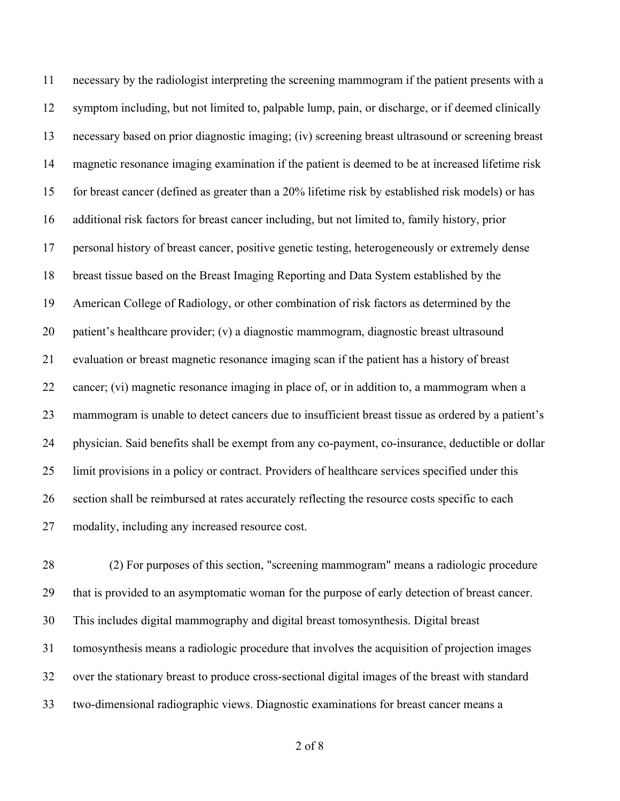necessary by the radiologist interpreting the screening mammogram if the patient presents with a symptom including, but not limited to, palpable lump, pain, or discharge, or if deemed clinically necessary based on prior diagnostic imaging; (iv) screening breast ultrasound or screening breast magnetic resonance imaging examination if the patient is deemed to be at increased lifetime risk for breast cancer (defined as greater than a 20% lifetime risk by established risk models) or has additional risk factors for breast cancer including, but not limited to, family history, prior personal history of breast cancer, positive genetic testing, heterogeneously or extremely dense breast tissue based on the Breast Imaging Reporting and Data System established by the American College of Radiology, or other combination of risk factors as determined by the patient's healthcare provider; (v) a diagnostic mammogram, diagnostic breast ultrasound evaluation or breast magnetic resonance imaging scan if the patient has a history of breast cancer; (vi) magnetic resonance imaging in place of, or in addition to, a mammogram when a mammogram is unable to detect cancers due to insufficient breast tissue as ordered by a patient's physician. Said benefits shall be exempt from any co-payment, co-insurance, deductible or dollar limit provisions in a policy or contract. Providers of healthcare services specified under this section shall be reimbursed at rates accurately reflecting the resource costs specific to each modality, including any increased resource cost.

 (2) For purposes of this section, "screening mammogram" means a radiologic procedure that is provided to an asymptomatic woman for the purpose of early detection of breast cancer. This includes digital mammography and digital breast tomosynthesis. Digital breast tomosynthesis means a radiologic procedure that involves the acquisition of projection images over the stationary breast to produce cross-sectional digital images of the breast with standard two-dimensional radiographic views. Diagnostic examinations for breast cancer means a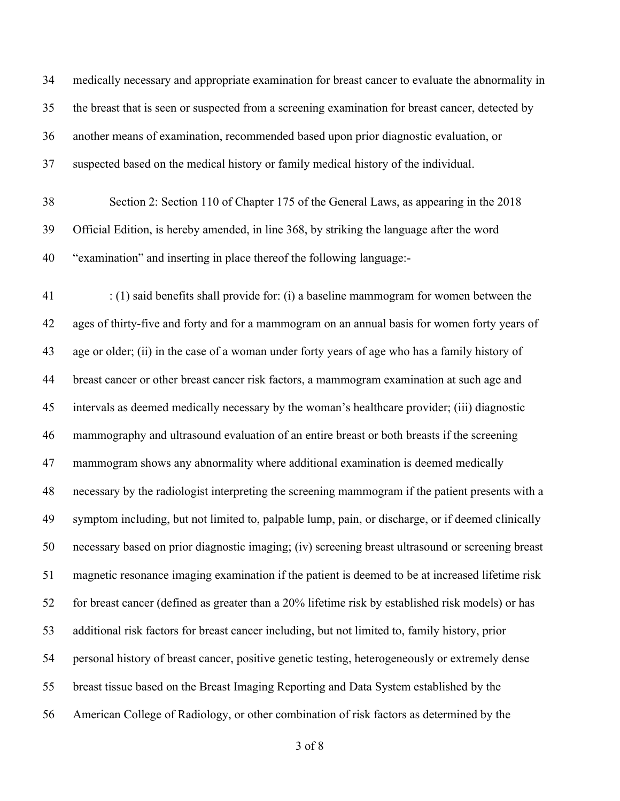medically necessary and appropriate examination for breast cancer to evaluate the abnormality in the breast that is seen or suspected from a screening examination for breast cancer, detected by another means of examination, recommended based upon prior diagnostic evaluation, or suspected based on the medical history or family medical history of the individual.

 Section 2: Section 110 of Chapter 175 of the General Laws, as appearing in the 2018 Official Edition, is hereby amended, in line 368, by striking the language after the word "examination" and inserting in place thereof the following language:-

 : (1) said benefits shall provide for: (i) a baseline mammogram for women between the ages of thirty-five and forty and for a mammogram on an annual basis for women forty years of age or older; (ii) in the case of a woman under forty years of age who has a family history of breast cancer or other breast cancer risk factors, a mammogram examination at such age and intervals as deemed medically necessary by the woman's healthcare provider; (iii) diagnostic mammography and ultrasound evaluation of an entire breast or both breasts if the screening mammogram shows any abnormality where additional examination is deemed medically necessary by the radiologist interpreting the screening mammogram if the patient presents with a symptom including, but not limited to, palpable lump, pain, or discharge, or if deemed clinically necessary based on prior diagnostic imaging; (iv) screening breast ultrasound or screening breast magnetic resonance imaging examination if the patient is deemed to be at increased lifetime risk for breast cancer (defined as greater than a 20% lifetime risk by established risk models) or has additional risk factors for breast cancer including, but not limited to, family history, prior personal history of breast cancer, positive genetic testing, heterogeneously or extremely dense breast tissue based on the Breast Imaging Reporting and Data System established by the American College of Radiology, or other combination of risk factors as determined by the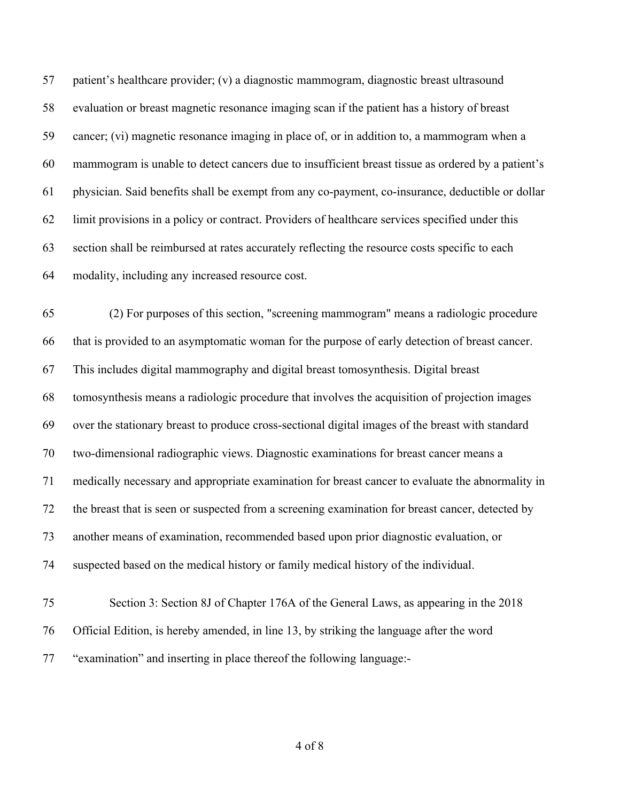patient's healthcare provider; (v) a diagnostic mammogram, diagnostic breast ultrasound evaluation or breast magnetic resonance imaging scan if the patient has a history of breast cancer; (vi) magnetic resonance imaging in place of, or in addition to, a mammogram when a mammogram is unable to detect cancers due to insufficient breast tissue as ordered by a patient's physician. Said benefits shall be exempt from any co-payment, co-insurance, deductible or dollar limit provisions in a policy or contract. Providers of healthcare services specified under this section shall be reimbursed at rates accurately reflecting the resource costs specific to each modality, including any increased resource cost.

 (2) For purposes of this section, "screening mammogram" means a radiologic procedure that is provided to an asymptomatic woman for the purpose of early detection of breast cancer. This includes digital mammography and digital breast tomosynthesis. Digital breast tomosynthesis means a radiologic procedure that involves the acquisition of projection images over the stationary breast to produce cross-sectional digital images of the breast with standard two-dimensional radiographic views. Diagnostic examinations for breast cancer means a medically necessary and appropriate examination for breast cancer to evaluate the abnormality in the breast that is seen or suspected from a screening examination for breast cancer, detected by another means of examination, recommended based upon prior diagnostic evaluation, or suspected based on the medical history or family medical history of the individual. Section 3: Section 8J of Chapter 176A of the General Laws, as appearing in the 2018

"examination" and inserting in place thereof the following language:-

Official Edition, is hereby amended, in line 13, by striking the language after the word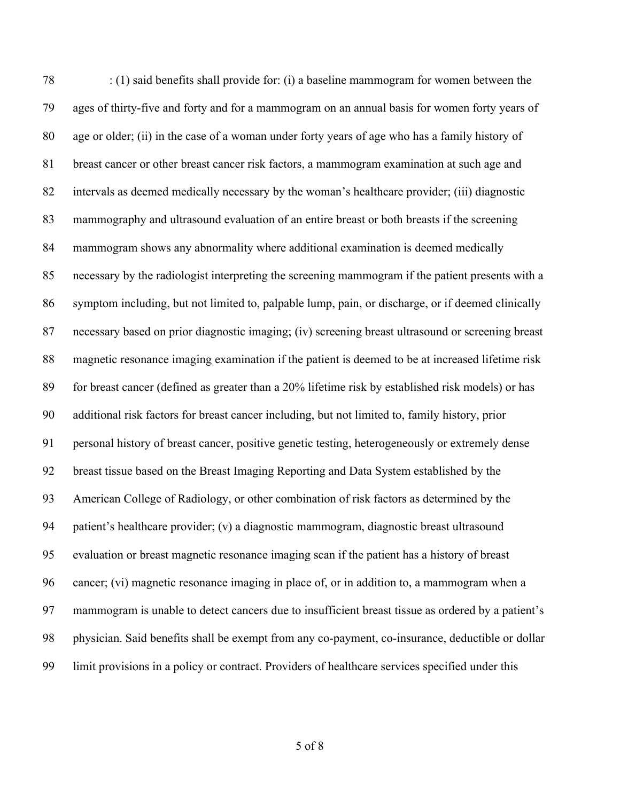: (1) said benefits shall provide for: (i) a baseline mammogram for women between the ages of thirty-five and forty and for a mammogram on an annual basis for women forty years of age or older; (ii) in the case of a woman under forty years of age who has a family history of breast cancer or other breast cancer risk factors, a mammogram examination at such age and intervals as deemed medically necessary by the woman's healthcare provider; (iii) diagnostic mammography and ultrasound evaluation of an entire breast or both breasts if the screening mammogram shows any abnormality where additional examination is deemed medically necessary by the radiologist interpreting the screening mammogram if the patient presents with a symptom including, but not limited to, palpable lump, pain, or discharge, or if deemed clinically necessary based on prior diagnostic imaging; (iv) screening breast ultrasound or screening breast magnetic resonance imaging examination if the patient is deemed to be at increased lifetime risk for breast cancer (defined as greater than a 20% lifetime risk by established risk models) or has additional risk factors for breast cancer including, but not limited to, family history, prior personal history of breast cancer, positive genetic testing, heterogeneously or extremely dense breast tissue based on the Breast Imaging Reporting and Data System established by the American College of Radiology, or other combination of risk factors as determined by the patient's healthcare provider; (v) a diagnostic mammogram, diagnostic breast ultrasound evaluation or breast magnetic resonance imaging scan if the patient has a history of breast cancer; (vi) magnetic resonance imaging in place of, or in addition to, a mammogram when a mammogram is unable to detect cancers due to insufficient breast tissue as ordered by a patient's physician. Said benefits shall be exempt from any co-payment, co-insurance, deductible or dollar limit provisions in a policy or contract. Providers of healthcare services specified under this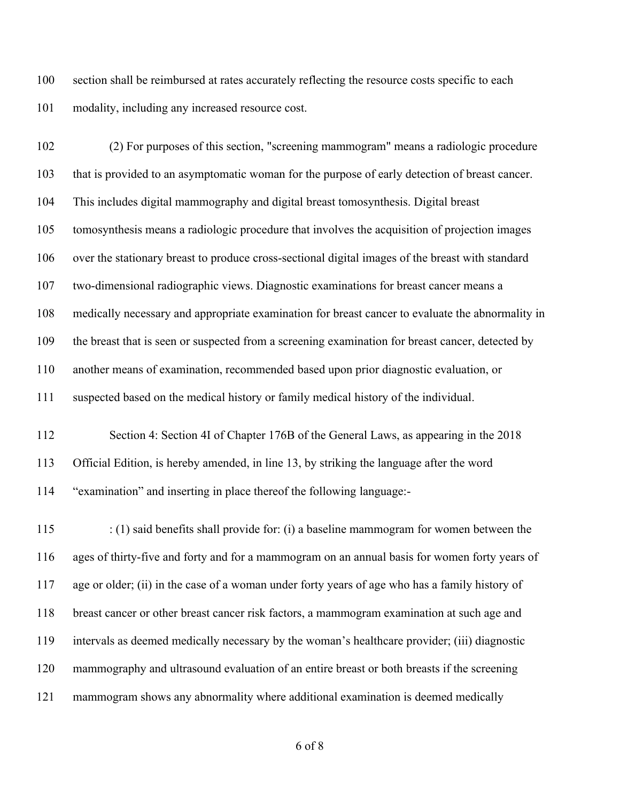section shall be reimbursed at rates accurately reflecting the resource costs specific to each modality, including any increased resource cost.

 (2) For purposes of this section, "screening mammogram" means a radiologic procedure that is provided to an asymptomatic woman for the purpose of early detection of breast cancer. This includes digital mammography and digital breast tomosynthesis. Digital breast tomosynthesis means a radiologic procedure that involves the acquisition of projection images over the stationary breast to produce cross-sectional digital images of the breast with standard two-dimensional radiographic views. Diagnostic examinations for breast cancer means a medically necessary and appropriate examination for breast cancer to evaluate the abnormality in the breast that is seen or suspected from a screening examination for breast cancer, detected by another means of examination, recommended based upon prior diagnostic evaluation, or suspected based on the medical history or family medical history of the individual. Section 4: Section 4I of Chapter 176B of the General Laws, as appearing in the 2018 Official Edition, is hereby amended, in line 13, by striking the language after the word "examination" and inserting in place thereof the following language:-

 : (1) said benefits shall provide for: (i) a baseline mammogram for women between the ages of thirty-five and forty and for a mammogram on an annual basis for women forty years of age or older; (ii) in the case of a woman under forty years of age who has a family history of breast cancer or other breast cancer risk factors, a mammogram examination at such age and intervals as deemed medically necessary by the woman's healthcare provider; (iii) diagnostic mammography and ultrasound evaluation of an entire breast or both breasts if the screening mammogram shows any abnormality where additional examination is deemed medically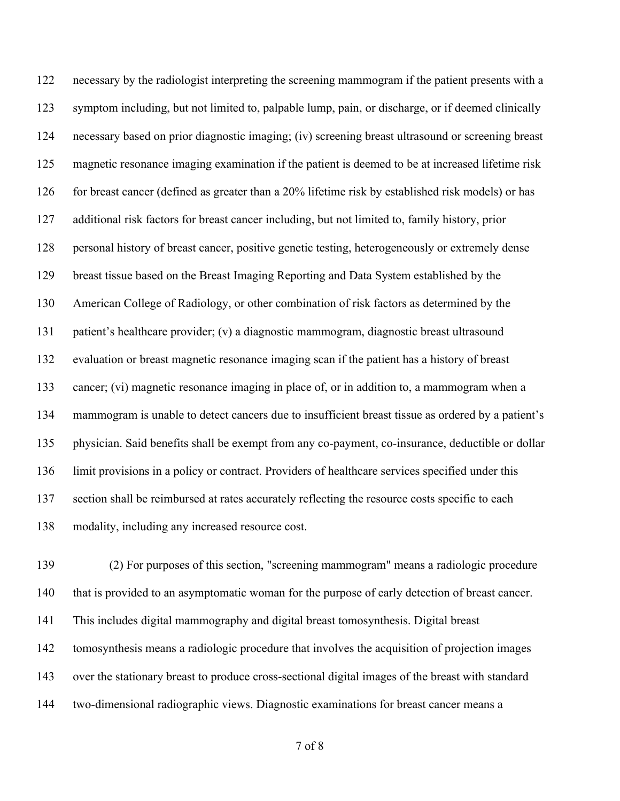necessary by the radiologist interpreting the screening mammogram if the patient presents with a symptom including, but not limited to, palpable lump, pain, or discharge, or if deemed clinically necessary based on prior diagnostic imaging; (iv) screening breast ultrasound or screening breast magnetic resonance imaging examination if the patient is deemed to be at increased lifetime risk for breast cancer (defined as greater than a 20% lifetime risk by established risk models) or has additional risk factors for breast cancer including, but not limited to, family history, prior personal history of breast cancer, positive genetic testing, heterogeneously or extremely dense breast tissue based on the Breast Imaging Reporting and Data System established by the American College of Radiology, or other combination of risk factors as determined by the patient's healthcare provider; (v) a diagnostic mammogram, diagnostic breast ultrasound evaluation or breast magnetic resonance imaging scan if the patient has a history of breast cancer; (vi) magnetic resonance imaging in place of, or in addition to, a mammogram when a mammogram is unable to detect cancers due to insufficient breast tissue as ordered by a patient's physician. Said benefits shall be exempt from any co-payment, co-insurance, deductible or dollar limit provisions in a policy or contract. Providers of healthcare services specified under this section shall be reimbursed at rates accurately reflecting the resource costs specific to each modality, including any increased resource cost.

 (2) For purposes of this section, "screening mammogram" means a radiologic procedure that is provided to an asymptomatic woman for the purpose of early detection of breast cancer. This includes digital mammography and digital breast tomosynthesis. Digital breast tomosynthesis means a radiologic procedure that involves the acquisition of projection images over the stationary breast to produce cross-sectional digital images of the breast with standard two-dimensional radiographic views. Diagnostic examinations for breast cancer means a